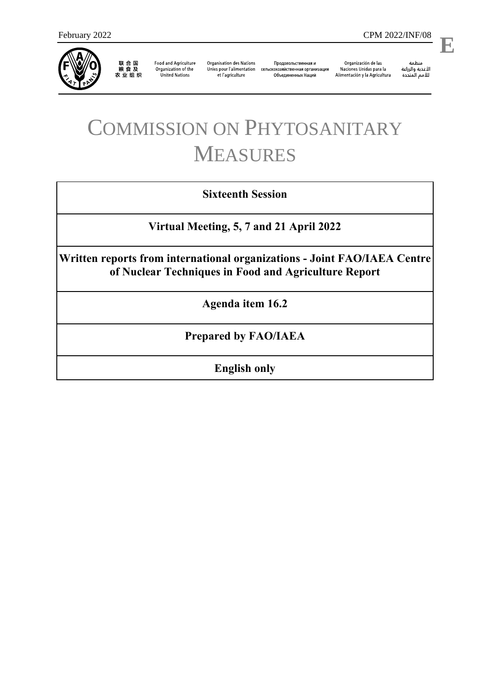

联合国<br>粮食及<br>农业组织

**Food and Agriculture** Organization of the **United Nations** 

**Organisation des Nations** et l'agriculture

Продовольственная и Unies pour l'alimentation сельскохозяйственная организация Объединенных Наций

Organización de las Naciones Unidas para la Alimentación y la Agricultura

منظمة ستنسه<br>الأغذية والزراعة<br>للأمم المتددة

l,

## COMMISSION ON PHYTOSANITARY MEASURES

## **Sixteenth Session**

**Virtual Meeting, 5, 7 and 21 April 2022**

**Written reports from international organizations - Joint FAO/IAEA Centre of Nuclear Techniques in Food and Agriculture Report**

**Agenda item 16.2**

**Prepared by FAO/IAEA**

**English only**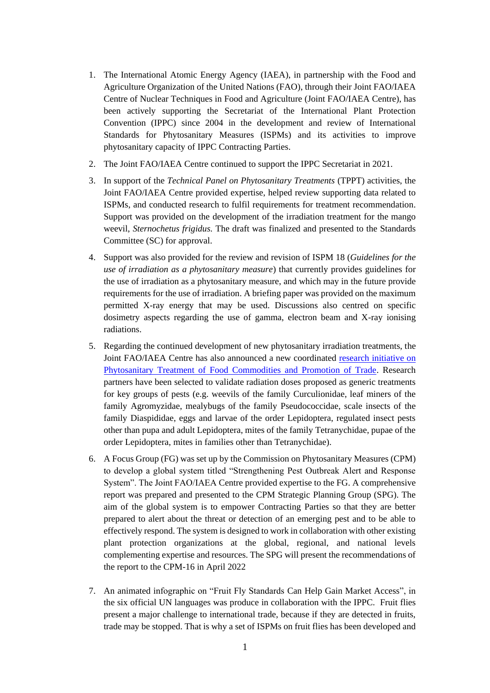- 1. The International Atomic Energy Agency (IAEA), in partnership with the Food and Agriculture Organization of the United Nations (FAO), through their Joint FAO/IAEA Centre of Nuclear Techniques in Food and Agriculture (Joint FAO/IAEA Centre), has been actively supporting the Secretariat of the International Plant Protection Convention (IPPC) since 2004 in the development and review of International Standards for Phytosanitary Measures (ISPMs) and its activities to improve phytosanitary capacity of IPPC Contracting Parties.
- 2. The Joint FAO/IAEA Centre continued to support the IPPC Secretariat in 2021.
- 3. In support of the *Technical Panel on Phytosanitary Treatments* (TPPT) activities, the Joint FAO/IAEA Centre provided expertise, helped review supporting data related to ISPMs, and conducted research to fulfil requirements for treatment recommendation. Support was provided on the development of the irradiation treatment for the mango weevil, *Sternochetus frigidus.* The draft was finalized and presented to the Standards Committee (SC) for approval.
- 4. Support was also provided for the review and revision of ISPM 18 (*Guidelines for the use of irradiation as a phytosanitary measure*) that currently provides guidelines for the use of irradiation as a phytosanitary measure, and which may in the future provide requirements for the use of irradiation. A briefing paper was provided on the maximum permitted X-ray energy that may be used. Discussions also centred on specific dosimetry aspects regarding the use of gamma, electron beam and X-ray ionising radiations.
- 5. Regarding the continued development of new phytosanitary irradiation treatments, the Joint FAO/IAEA Centre has also announced a new coordinated [research initiative](https://www.iaea.org/newscenter/news/new-crp-phytosanitary-treatment-of-food-commodities-and-promotion-of-trade-crp-d61026) on Phytosanitary Treatment of Food Commodities and Promotion of Trade. Research partners have been selected to validate radiation doses proposed as generic treatments for key groups of pests (e.g. weevils of the family Curculionidae, leaf miners of the family Agromyzidae, mealybugs of the family Pseudococcidae, scale insects of the family Diaspididae, eggs and larvae of the order Lepidoptera, regulated insect pests other than pupa and adult Lepidoptera, mites of the family Tetranychidae, pupae of the order Lepidoptera, mites in families other than Tetranychidae).
- 6. A Focus Group (FG) was set up by the Commission on Phytosanitary Measures (CPM) to develop a global system titled "Strengthening Pest Outbreak Alert and Response System". The Joint FAO/IAEA Centre provided expertise to the FG. A comprehensive report was prepared and presented to the CPM Strategic Planning Group (SPG). The aim of the global system is to empower Contracting Parties so that they are better prepared to alert about the threat or detection of an emerging pest and to be able to effectively respond. The system is designed to work in collaboration with other existing plant protection organizations at the global, regional, and national levels complementing expertise and resources. The SPG will present the recommendations of the report to the CPM-16 in April 2022
- 7. An animated infographic on "Fruit Fly Standards Can Help Gain Market Access", in the six official UN languages was produce in collaboration with the IPPC. Fruit flies present a major challenge to international trade, because if they are detected in fruits, trade may be stopped. That is why a set of ISPMs on fruit flies has been developed and